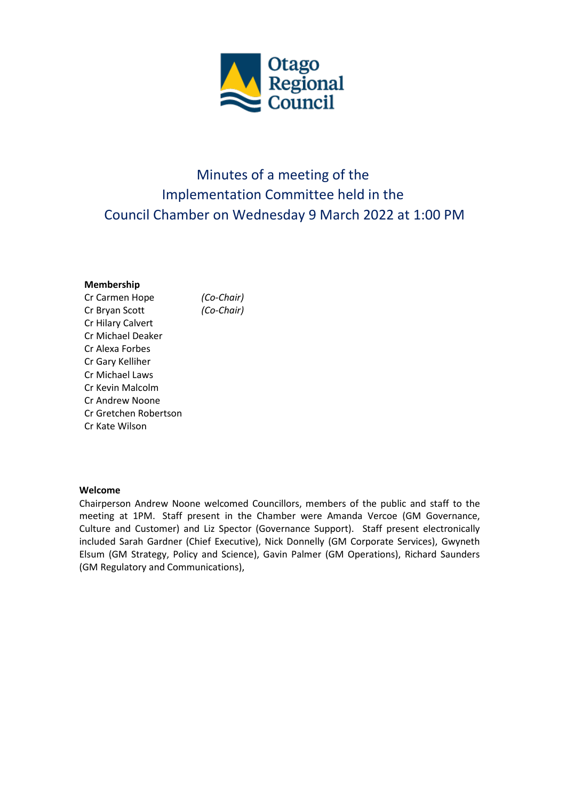

# Minutes of a meeting of the Implementation Committee held in the Council Chamber on Wednesday 9 March 2022 at 1:00 PM

#### **Membership**

Cr Carmen Hope *(Co-Chair)* Cr Bryan Scott *(Co-Chair)* Cr Hilary Calvert Cr Michael Deaker Cr Alexa Forbes Cr Gary Kelliher Cr Michael Laws Cr Kevin Malcolm Cr Andrew Noone Cr Gretchen Robertson Cr Kate Wilson

#### **Welcome**

Chairperson Andrew Noone welcomed Councillors, members of the public and staff to the meeting at 1PM. Staff present in the Chamber were Amanda Vercoe (GM Governance, Culture and Customer) and Liz Spector (Governance Support). Staff present electronically included Sarah Gardner (Chief Executive), Nick Donnelly (GM Corporate Services), Gwyneth Elsum (GM Strategy, Policy and Science), Gavin Palmer (GM Operations), Richard Saunders (GM Regulatory and Communications),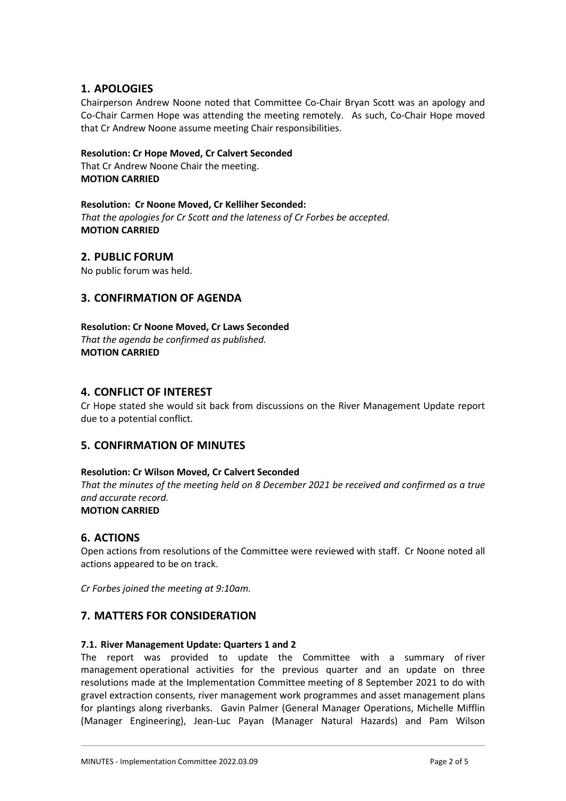## **1. APOLOGIES**

Chairperson Andrew Noone noted that Committee Co-Chair Bryan Scott was an apology and Co-Chair Carmen Hope was attending the meeting remotely. As such, Co-Chair Hope moved that Cr Andrew Noone assume meeting Chair responsibilities.

#### **Resolution: Cr Hope Moved, Cr Calvert Seconded**

That Cr Andrew Noone Chair the meeting. **MOTION CARRIED**

# **Resolution: Cr Noone Moved, Cr Kelliher Seconded:**

*That the apologies for Cr Scott and the lateness of Cr Forbes be accepted.* **MOTION CARRIED**

#### **2. PUBLIC FORUM**

No public forum was held.

### **3. CONFIRMATION OF AGENDA**

**Resolution: Cr Noone Moved, Cr Laws Seconded** *That the agenda be confirmed as published.* **MOTION CARRIED**

#### **4. CONFLICT OF INTEREST**

Cr Hope stated she would sit back from discussions on the River Management Update report due to a potential conflict.

### **5. CONFIRMATION OF MINUTES**

#### **Resolution: Cr Wilson Moved, Cr Calvert Seconded**

*That the minutes of the meeting held on 8 December 2021 be received and confirmed as a true and accurate record.* **MOTION CARRIED**

#### **6. ACTIONS**

Open actions from resolutions of the Committee were reviewed with staff. Cr Noone noted all actions appeared to be on track.

*Cr Forbes joined the meeting at 9:10am.*

### **7. MATTERS FOR CONSIDERATION**

#### **7.1. River Management Update: Quarters 1 and 2**

The report was provided to update the Committee with a summary of river management operational activities for the previous quarter and an update on three resolutions made at the Implementation Committee meeting of 8 September 2021 to do with gravel extraction consents, river management work programmes and asset management plans for plantings along riverbanks. Gavin Palmer (General Manager Operations, Michelle Mifflin (Manager Engineering), Jean-Luc Payan (Manager Natural Hazards) and Pam Wilson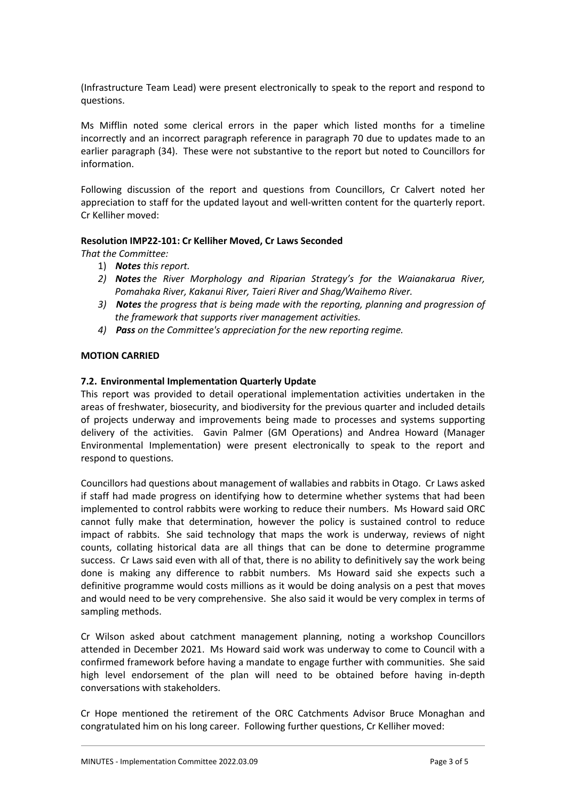(Infrastructure Team Lead) were present electronically to speak to the report and respond to questions.

Ms Mifflin noted some clerical errors in the paper which listed months for a timeline incorrectly and an incorrect paragraph reference in paragraph 70 due to updates made to an earlier paragraph (34). These were not substantive to the report but noted to Councillors for information.

Following discussion of the report and questions from Councillors, Cr Calvert noted her appreciation to staff for the updated layout and well-written content for the quarterly report. Cr Kelliher moved:

#### **Resolution IMP22-101: Cr Kelliher Moved, Cr Laws Seconded**

*That the Committee:*

- 1) *Notes this report.*
- *2) Notes the River Morphology and Riparian Strategy's for the Waianakarua River, Pomahaka River, Kakanui River, Taieri River and Shag/Waihemo River.*
- *3) Notes the progress that is being made with the reporting, planning and progression of the framework that supports river management activities.*
- *4) Pass on the Committee's appreciation for the new reporting regime.*

#### **MOTION CARRIED**

#### **7.2. Environmental Implementation Quarterly Update**

This report was provided to detail operational implementation activities undertaken in the areas of freshwater, biosecurity, and biodiversity for the previous quarter and included details of projects underway and improvements being made to processes and systems supporting delivery of the activities. Gavin Palmer (GM Operations) and Andrea Howard (Manager Environmental Implementation) were present electronically to speak to the report and respond to questions.

Councillors had questions about management of wallabies and rabbits in Otago. Cr Laws asked if staff had made progress on identifying how to determine whether systems that had been implemented to control rabbits were working to reduce their numbers. Ms Howard said ORC cannot fully make that determination, however the policy is sustained control to reduce impact of rabbits. She said technology that maps the work is underway, reviews of night counts, collating historical data are all things that can be done to determine programme success. Cr Laws said even with all of that, there is no ability to definitively say the work being done is making any difference to rabbit numbers. Ms Howard said she expects such a definitive programme would costs millions as it would be doing analysis on a pest that moves and would need to be very comprehensive. She also said it would be very complex in terms of sampling methods.

Cr Wilson asked about catchment management planning, noting a workshop Councillors attended in December 2021. Ms Howard said work was underway to come to Council with a confirmed framework before having a mandate to engage further with communities. She said high level endorsement of the plan will need to be obtained before having in-depth conversations with stakeholders.

Cr Hope mentioned the retirement of the ORC Catchments Advisor Bruce Monaghan and congratulated him on his long career. Following further questions, Cr Kelliher moved: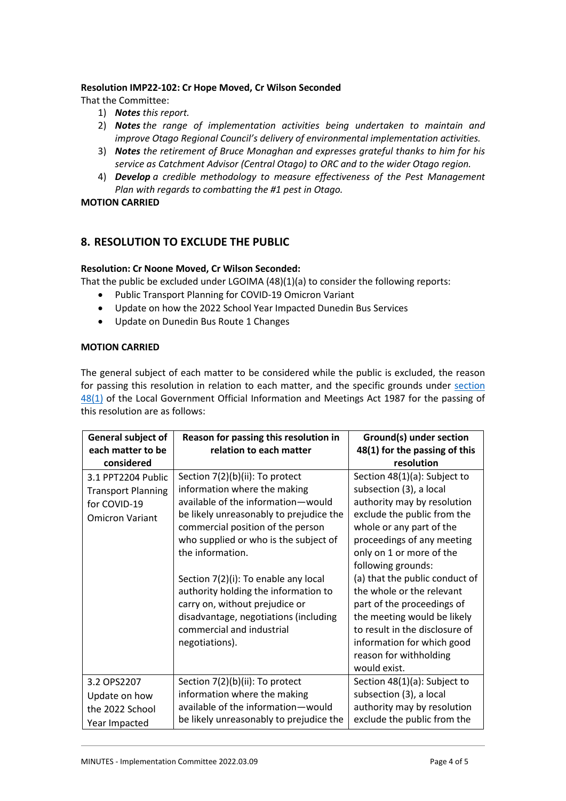#### **Resolution IMP22-102: Cr Hope Moved, Cr Wilson Seconded**

That the Committee:

- 1) *Notes this report.*
- 2) *Notes the range of implementation activities being undertaken to maintain and improve Otago Regional Council's delivery of environmental implementation activities.*
- 3) *Notes the retirement of Bruce Monaghan and expresses grateful thanks to him for his service as Catchment Advisor (Central Otago) to ORC and to the wider Otago region.*
- 4) *Develop a credible methodology to measure effectiveness of the Pest Management Plan with regards to combatting the #1 pest in Otago.*

**MOTION CARRIED**

## **8. RESOLUTION TO EXCLUDE THE PUBLIC**

#### **Resolution: Cr Noone Moved, Cr Wilson Seconded:**

That the public be excluded under LGOIMA (48)(1)(a) to consider the following reports:

- Public Transport Planning for COVID-19 Omicron Variant
- Update on how the 2022 School Year Impacted Dunedin Bus Services
- Update on Dunedin Bus Route 1 Changes

#### **MOTION CARRIED**

The general subject of each matter to be considered while the public is excluded, the reason for passing this resolution in relation to each matter, and the specific grounds under section [48\(1\)](http://www.legislation.govt.nz/act/public/1987/0174/latest/link.aspx?id=DLM123095%22%20%5Cl%20%22DLM123095) of the Local Government Official Information and Meetings Act 1987 for the passing of this resolution are as follows:

| General subject of                                                                        | Reason for passing this resolution in                                                                                                                                                                                                                                                                                                                                                                         | Ground(s) under section                                                                                                                                                                                                                                                                                                                                       |
|-------------------------------------------------------------------------------------------|---------------------------------------------------------------------------------------------------------------------------------------------------------------------------------------------------------------------------------------------------------------------------------------------------------------------------------------------------------------------------------------------------------------|---------------------------------------------------------------------------------------------------------------------------------------------------------------------------------------------------------------------------------------------------------------------------------------------------------------------------------------------------------------|
| each matter to be                                                                         | relation to each matter                                                                                                                                                                                                                                                                                                                                                                                       | 48(1) for the passing of this                                                                                                                                                                                                                                                                                                                                 |
| considered                                                                                |                                                                                                                                                                                                                                                                                                                                                                                                               | resolution                                                                                                                                                                                                                                                                                                                                                    |
| 3.1 PPT2204 Public<br><b>Transport Planning</b><br>for COVID-19<br><b>Omicron Variant</b> | Section 7(2)(b)(ii): To protect<br>information where the making<br>available of the information-would<br>be likely unreasonably to prejudice the<br>commercial position of the person<br>who supplied or who is the subject of<br>the information.<br>Section 7(2)(i): To enable any local<br>authority holding the information to<br>carry on, without prejudice or<br>disadvantage, negotiations (including | Section 48(1)(a): Subject to<br>subsection (3), a local<br>authority may by resolution<br>exclude the public from the<br>whole or any part of the<br>proceedings of any meeting<br>only on 1 or more of the<br>following grounds:<br>(a) that the public conduct of<br>the whole or the relevant<br>part of the proceedings of<br>the meeting would be likely |
|                                                                                           | commercial and industrial<br>negotiations).                                                                                                                                                                                                                                                                                                                                                                   | to result in the disclosure of<br>information for which good<br>reason for withholding<br>would exist.                                                                                                                                                                                                                                                        |
| 3.2 OPS2207                                                                               | Section 7(2)(b)(ii): To protect                                                                                                                                                                                                                                                                                                                                                                               | Section 48(1)(a): Subject to                                                                                                                                                                                                                                                                                                                                  |
| Update on how                                                                             | information where the making                                                                                                                                                                                                                                                                                                                                                                                  | subsection (3), a local                                                                                                                                                                                                                                                                                                                                       |
| the 2022 School                                                                           | available of the information-would                                                                                                                                                                                                                                                                                                                                                                            | authority may by resolution                                                                                                                                                                                                                                                                                                                                   |
| Year Impacted                                                                             | be likely unreasonably to prejudice the                                                                                                                                                                                                                                                                                                                                                                       | exclude the public from the                                                                                                                                                                                                                                                                                                                                   |